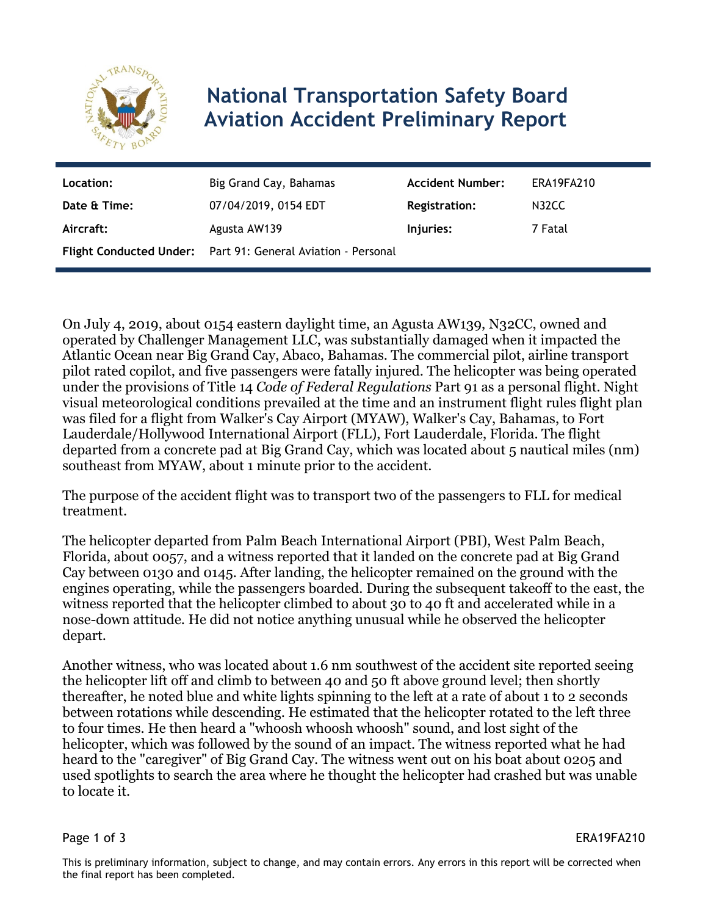

# **National Transportation Safety Board Aviation Accident Preliminary Report**

| Location:    | Big Grand Cay, Bahamas                                       | <b>Accident Number:</b> | ERA19FA210 |
|--------------|--------------------------------------------------------------|-------------------------|------------|
| Date & Time: | 07/04/2019, 0154 EDT                                         | <b>Registration:</b>    | N32CC      |
| Aircraft:    | Agusta AW139                                                 | Injuries:               | 7 Fatal    |
|              | Flight Conducted Under: Part 91: General Aviation - Personal |                         |            |

On July 4, 2019, about 0154 eastern daylight time, an Agusta AW139, N32CC, owned and operated by Challenger Management LLC, was substantially damaged when it impacted the Atlantic Ocean near Big Grand Cay, Abaco, Bahamas. The commercial pilot, airline transport pilot rated copilot, and five passengers were fatally injured. The helicopter was being operated under the provisions of Title 14 *Code of Federal Regulations* Part 91 as a personal flight. Night visual meteorological conditions prevailed at the time and an instrument flight rules flight plan was filed for a flight from Walker's Cay Airport (MYAW), Walker's Cay, Bahamas, to Fort Lauderdale/Hollywood International Airport (FLL), Fort Lauderdale, Florida. The flight departed from a concrete pad at Big Grand Cay, which was located about 5 nautical miles (nm) southeast from MYAW, about 1 minute prior to the accident.

The purpose of the accident flight was to transport two of the passengers to FLL for medical treatment.

The helicopter departed from Palm Beach International Airport (PBI), West Palm Beach, Florida, about 0057, and a witness reported that it landed on the concrete pad at Big Grand Cay between 0130 and 0145. After landing, the helicopter remained on the ground with the engines operating, while the passengers boarded. During the subsequent takeoff to the east, the witness reported that the helicopter climbed to about 30 to 40 ft and accelerated while in a nose-down attitude. He did not notice anything unusual while he observed the helicopter depart.

Another witness, who was located about 1.6 nm southwest of the accident site reported seeing the helicopter lift off and climb to between 40 and 50 ft above ground level; then shortly thereafter, he noted blue and white lights spinning to the left at a rate of about 1 to 2 seconds between rotations while descending. He estimated that the helicopter rotated to the left three to four times. He then heard a "whoosh whoosh whoosh" sound, and lost sight of the helicopter, which was followed by the sound of an impact. The witness reported what he had heard to the "caregiver" of Big Grand Cay. The witness went out on his boat about 0205 and used spotlights to search the area where he thought the helicopter had crashed but was unable to locate it.

Page 1 of 3 ERA19FA210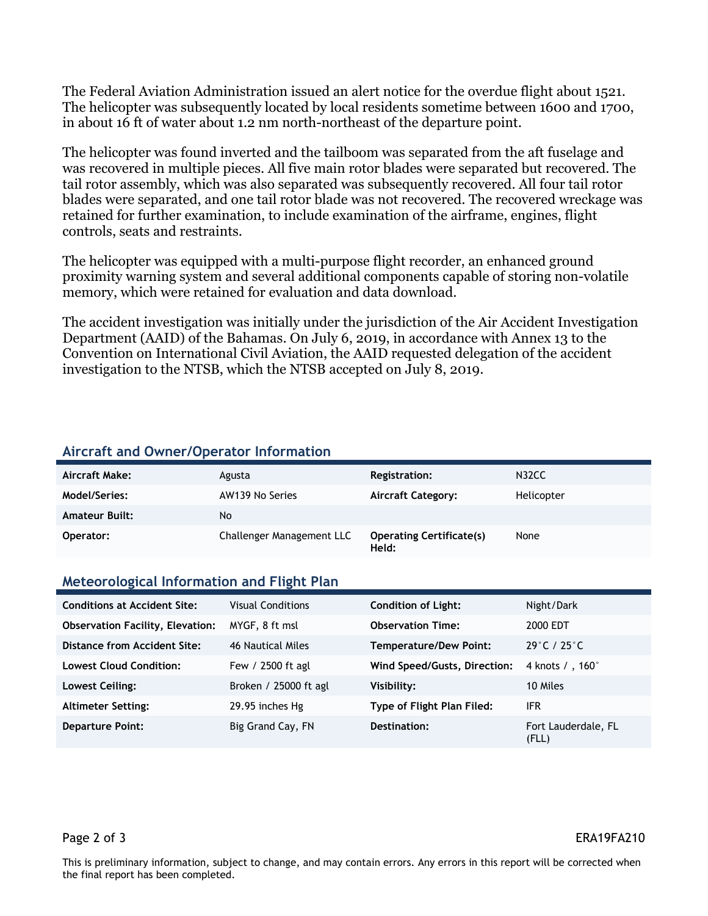The Federal Aviation Administration issued an alert notice for the overdue flight about 1521. The helicopter was subsequently located by local residents sometime between 1600 and 1700, in about 16 ft of water about 1.2 nm north-northeast of the departure point.

The helicopter was found inverted and the tailboom was separated from the aft fuselage and was recovered in multiple pieces. All five main rotor blades were separated but recovered. The tail rotor assembly, which was also separated was subsequently recovered. All four tail rotor blades were separated, and one tail rotor blade was not recovered. The recovered wreckage was retained for further examination, to include examination of the airframe, engines, flight controls, seats and restraints.

The helicopter was equipped with a multi-purpose flight recorder, an enhanced ground proximity warning system and several additional components capable of storing non-volatile memory, which were retained for evaluation and data download.

The accident investigation was initially under the jurisdiction of the Air Accident Investigation Department (AAID) of the Bahamas. On July 6, 2019, in accordance with Annex 13 to the Convention on International Civil Aviation, the AAID requested delegation of the accident investigation to the NTSB, which the NTSB accepted on July 8, 2019.

### **Aircraft and Owner/Operator Information**

| Aircraft Make:        | Agusta                    | Registration:                            | N32CC      |
|-----------------------|---------------------------|------------------------------------------|------------|
| Model/Series:         | AW139 No Series           | <b>Aircraft Category:</b>                | Helicopter |
| <b>Amateur Built:</b> | No                        |                                          |            |
| Operator:             | Challenger Management LLC | <b>Operating Certificate(s)</b><br>Held: | None       |

#### **Meteorological Information and Flight Plan**

| <b>Conditions at Accident Site:</b>     | <b>Visual Conditions</b> | <b>Condition of Light:</b>    | Night/Dark                       |
|-----------------------------------------|--------------------------|-------------------------------|----------------------------------|
| <b>Observation Facility, Elevation:</b> | MYGF, 8 ft msl           | <b>Observation Time:</b>      | 2000 EDT                         |
| <b>Distance from Accident Site:</b>     | 46 Nautical Miles        | <b>Temperature/Dew Point:</b> | $29^{\circ}$ C / 25 $^{\circ}$ C |
| <b>Lowest Cloud Condition:</b>          | Few / 2500 ft agl        | Wind Speed/Gusts, Direction:  | 4 knots / , 160 <sup>°</sup>     |
| Lowest Ceiling:                         | Broken / 25000 ft agl    | Visibility:                   | 10 Miles                         |
| <b>Altimeter Setting:</b>               | 29.95 inches Hg          | Type of Flight Plan Filed:    | ifr                              |
| <b>Departure Point:</b>                 | Big Grand Cay, FN        | Destination:                  | Fort Lauderdale, FL<br>(FLL)     |

#### Page 2 of 3 ERA19FA210

This is preliminary information, subject to change, and may contain errors. Any errors in this report will be corrected when the final report has been completed.